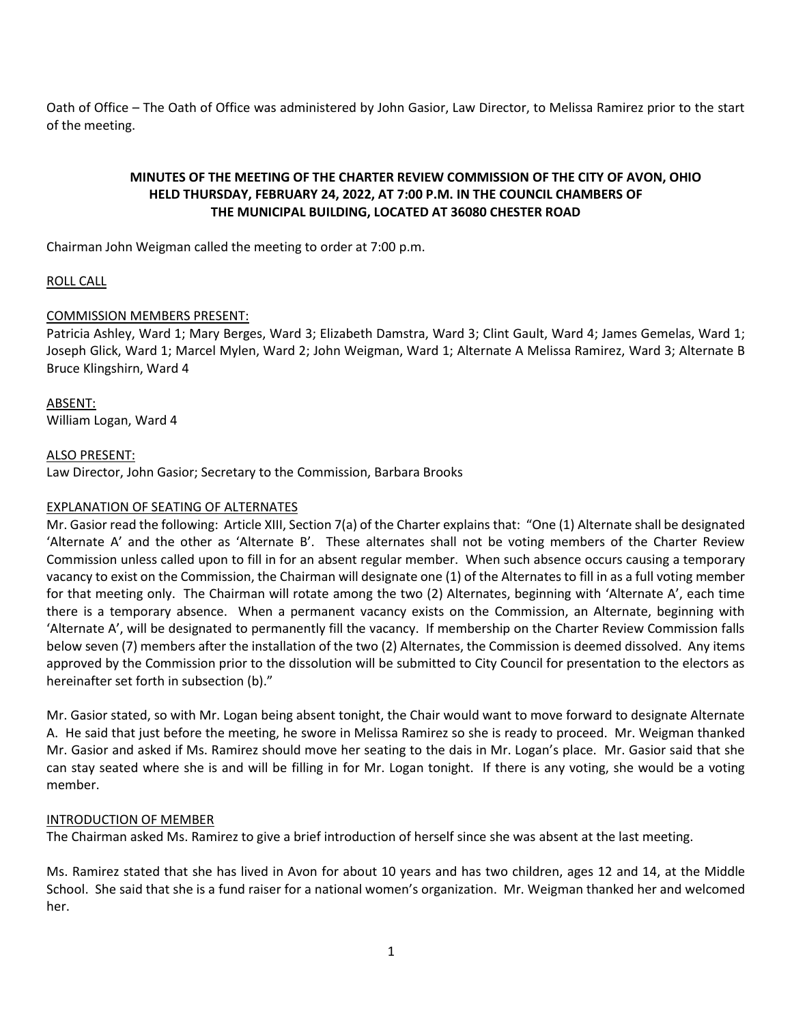Oath of Office – The Oath of Office was administered by John Gasior, Law Director, to Melissa Ramirez prior to the start of the meeting.

# **MINUTES OF THE MEETING OF THE CHARTER REVIEW COMMISSION OF THE CITY OF AVON, OHIO HELD THURSDAY, FEBRUARY 24, 2022, AT 7:00 P.M. IN THE COUNCIL CHAMBERS OF THE MUNICIPAL BUILDING, LOCATED AT 36080 CHESTER ROAD**

Chairman John Weigman called the meeting to order at 7:00 p.m.

# ROLL CALL

# COMMISSION MEMBERS PRESENT:

Patricia Ashley, Ward 1; Mary Berges, Ward 3; Elizabeth Damstra, Ward 3; Clint Gault, Ward 4; James Gemelas, Ward 1; Joseph Glick, Ward 1; Marcel Mylen, Ward 2; John Weigman, Ward 1; Alternate A Melissa Ramirez, Ward 3; Alternate B Bruce Klingshirn, Ward 4

# ABSENT:

William Logan, Ward 4

## ALSO PRESENT:

Law Director, John Gasior; Secretary to the Commission, Barbara Brooks

## EXPLANATION OF SEATING OF ALTERNATES

Mr. Gasior read the following: Article XIII, Section 7(a) of the Charter explains that: "One (1) Alternate shall be designated 'Alternate A' and the other as 'Alternate B'. These alternates shall not be voting members of the Charter Review Commission unless called upon to fill in for an absent regular member. When such absence occurs causing a temporary vacancy to exist on the Commission, the Chairman will designate one (1) of the Alternates to fill in as a full voting member for that meeting only. The Chairman will rotate among the two (2) Alternates, beginning with 'Alternate A', each time there is a temporary absence. When a permanent vacancy exists on the Commission, an Alternate, beginning with 'Alternate A', will be designated to permanently fill the vacancy. If membership on the Charter Review Commission falls below seven (7) members after the installation of the two (2) Alternates, the Commission is deemed dissolved. Any items approved by the Commission prior to the dissolution will be submitted to City Council for presentation to the electors as hereinafter set forth in subsection (b)."

Mr. Gasior stated, so with Mr. Logan being absent tonight, the Chair would want to move forward to designate Alternate A. He said that just before the meeting, he swore in Melissa Ramirez so she is ready to proceed. Mr. Weigman thanked Mr. Gasior and asked if Ms. Ramirez should move her seating to the dais in Mr. Logan's place. Mr. Gasior said that she can stay seated where she is and will be filling in for Mr. Logan tonight. If there is any voting, she would be a voting member.

#### INTRODUCTION OF MEMBER

The Chairman asked Ms. Ramirez to give a brief introduction of herself since she was absent at the last meeting.

Ms. Ramirez stated that she has lived in Avon for about 10 years and has two children, ages 12 and 14, at the Middle School. She said that she is a fund raiser for a national women's organization. Mr. Weigman thanked her and welcomed her.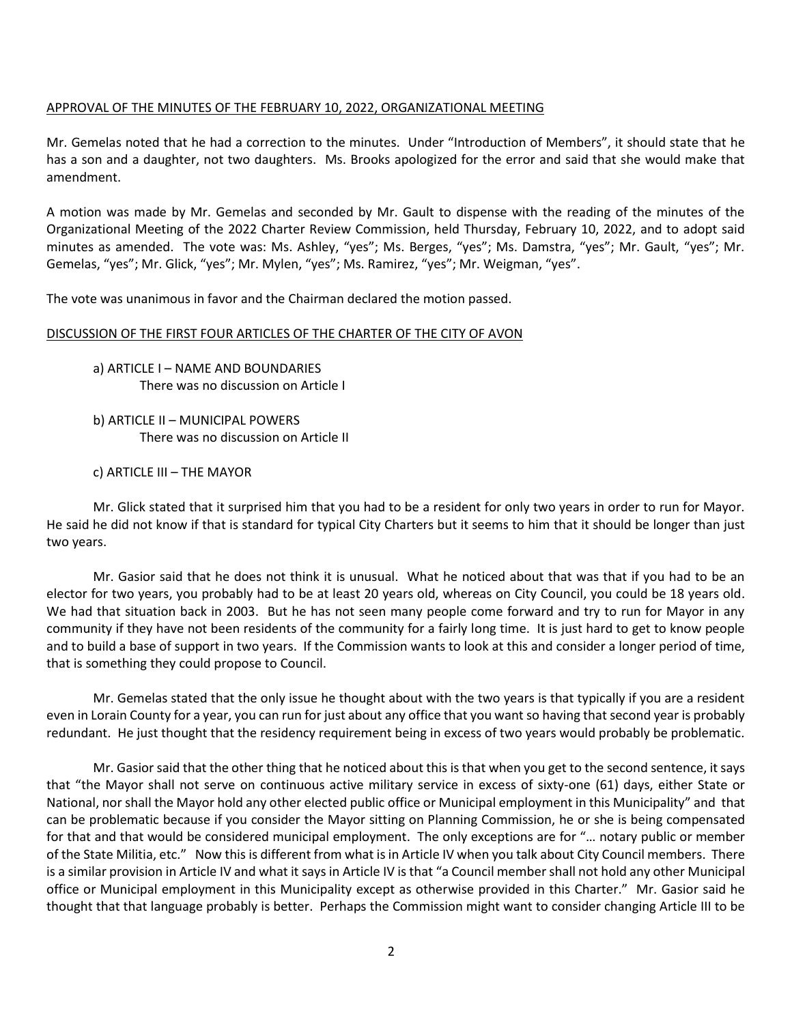## APPROVAL OF THE MINUTES OF THE FEBRUARY 10, 2022, ORGANIZATIONAL MEETING

Mr. Gemelas noted that he had a correction to the minutes. Under "Introduction of Members", it should state that he has a son and a daughter, not two daughters. Ms. Brooks apologized for the error and said that she would make that amendment.

A motion was made by Mr. Gemelas and seconded by Mr. Gault to dispense with the reading of the minutes of the Organizational Meeting of the 2022 Charter Review Commission, held Thursday, February 10, 2022, and to adopt said minutes as amended. The vote was: Ms. Ashley, "yes"; Ms. Berges, "yes"; Ms. Damstra, "yes"; Mr. Gault, "yes"; Mr. Gemelas, "yes"; Mr. Glick, "yes"; Mr. Mylen, "yes"; Ms. Ramirez, "yes"; Mr. Weigman, "yes".

The vote was unanimous in favor and the Chairman declared the motion passed.

## DISCUSSION OF THE FIRST FOUR ARTICLES OF THE CHARTER OF THE CITY OF AVON

a) ARTICLE I – NAME AND BOUNDARIES There was no discussion on Article I

b) ARTICLE II – MUNICIPAL POWERS There was no discussion on Article II

c) ARTICLE III – THE MAYOR

Mr. Glick stated that it surprised him that you had to be a resident for only two years in order to run for Mayor. He said he did not know if that is standard for typical City Charters but it seems to him that it should be longer than just two years.

Mr. Gasior said that he does not think it is unusual. What he noticed about that was that if you had to be an elector for two years, you probably had to be at least 20 years old, whereas on City Council, you could be 18 years old. We had that situation back in 2003. But he has not seen many people come forward and try to run for Mayor in any community if they have not been residents of the community for a fairly long time. It is just hard to get to know people and to build a base of support in two years. If the Commission wants to look at this and consider a longer period of time, that is something they could propose to Council.

Mr. Gemelas stated that the only issue he thought about with the two years is that typically if you are a resident even in Lorain County for a year, you can run for just about any office that you want so having that second year is probably redundant. He just thought that the residency requirement being in excess of two years would probably be problematic.

Mr. Gasior said that the other thing that he noticed about this is that when you get to the second sentence, it says that "the Mayor shall not serve on continuous active military service in excess of sixty-one (61) days, either State or National, nor shall the Mayor hold any other elected public office or Municipal employment in this Municipality" and that can be problematic because if you consider the Mayor sitting on Planning Commission, he or she is being compensated for that and that would be considered municipal employment. The only exceptions are for "… notary public or member of the State Militia, etc." Now this is different from what is in Article IV when you talk about City Council members. There is a similar provision in Article IV and what it says in Article IV is that "a Council member shall not hold any other Municipal office or Municipal employment in this Municipality except as otherwise provided in this Charter." Mr. Gasior said he thought that that language probably is better. Perhaps the Commission might want to consider changing Article III to be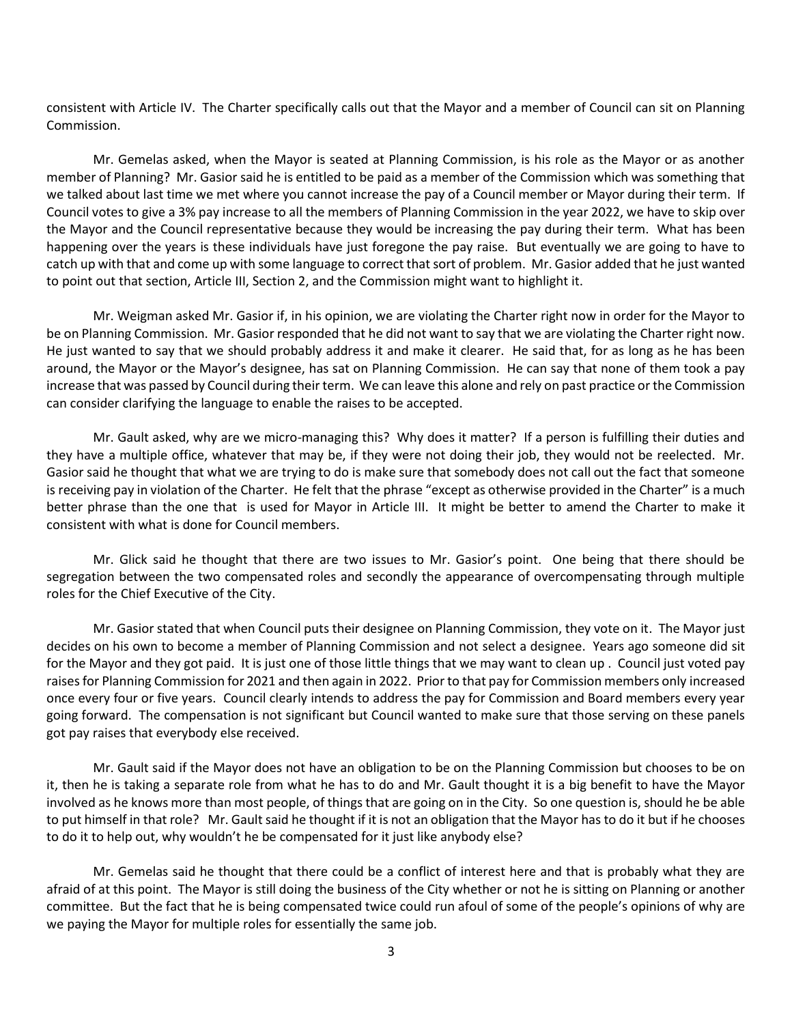consistent with Article IV. The Charter specifically calls out that the Mayor and a member of Council can sit on Planning Commission.

Mr. Gemelas asked, when the Mayor is seated at Planning Commission, is his role as the Mayor or as another member of Planning? Mr. Gasior said he is entitled to be paid as a member of the Commission which was something that we talked about last time we met where you cannot increase the pay of a Council member or Mayor during their term. If Council votes to give a 3% pay increase to all the members of Planning Commission in the year 2022, we have to skip over the Mayor and the Council representative because they would be increasing the pay during their term. What has been happening over the years is these individuals have just foregone the pay raise. But eventually we are going to have to catch up with that and come up with some language to correct that sort of problem. Mr. Gasior added that he just wanted to point out that section, Article III, Section 2, and the Commission might want to highlight it.

Mr. Weigman asked Mr. Gasior if, in his opinion, we are violating the Charter right now in order for the Mayor to be on Planning Commission. Mr. Gasior responded that he did not want to say that we are violating the Charter right now. He just wanted to say that we should probably address it and make it clearer. He said that, for as long as he has been around, the Mayor or the Mayor's designee, has sat on Planning Commission. He can say that none of them took a pay increase that was passed by Council during their term. We can leave this alone and rely on past practice or the Commission can consider clarifying the language to enable the raises to be accepted.

Mr. Gault asked, why are we micro-managing this? Why does it matter? If a person is fulfilling their duties and they have a multiple office, whatever that may be, if they were not doing their job, they would not be reelected. Mr. Gasior said he thought that what we are trying to do is make sure that somebody does not call out the fact that someone is receiving pay in violation of the Charter. He felt that the phrase "except as otherwise provided in the Charter" is a much better phrase than the one that is used for Mayor in Article III. It might be better to amend the Charter to make it consistent with what is done for Council members.

Mr. Glick said he thought that there are two issues to Mr. Gasior's point. One being that there should be segregation between the two compensated roles and secondly the appearance of overcompensating through multiple roles for the Chief Executive of the City.

Mr. Gasior stated that when Council puts their designee on Planning Commission, they vote on it. The Mayor just decides on his own to become a member of Planning Commission and not select a designee. Years ago someone did sit for the Mayor and they got paid. It is just one of those little things that we may want to clean up . Council just voted pay raises for Planning Commission for 2021 and then again in 2022. Prior to that pay for Commission members only increased once every four or five years. Council clearly intends to address the pay for Commission and Board members every year going forward. The compensation is not significant but Council wanted to make sure that those serving on these panels got pay raises that everybody else received.

Mr. Gault said if the Mayor does not have an obligation to be on the Planning Commission but chooses to be on it, then he is taking a separate role from what he has to do and Mr. Gault thought it is a big benefit to have the Mayor involved as he knows more than most people, of things that are going on in the City. So one question is, should he be able to put himself in that role? Mr. Gault said he thought if it is not an obligation that the Mayor has to do it but if he chooses to do it to help out, why wouldn't he be compensated for it just like anybody else?

Mr. Gemelas said he thought that there could be a conflict of interest here and that is probably what they are afraid of at this point. The Mayor is still doing the business of the City whether or not he is sitting on Planning or another committee. But the fact that he is being compensated twice could run afoul of some of the people's opinions of why are we paying the Mayor for multiple roles for essentially the same job.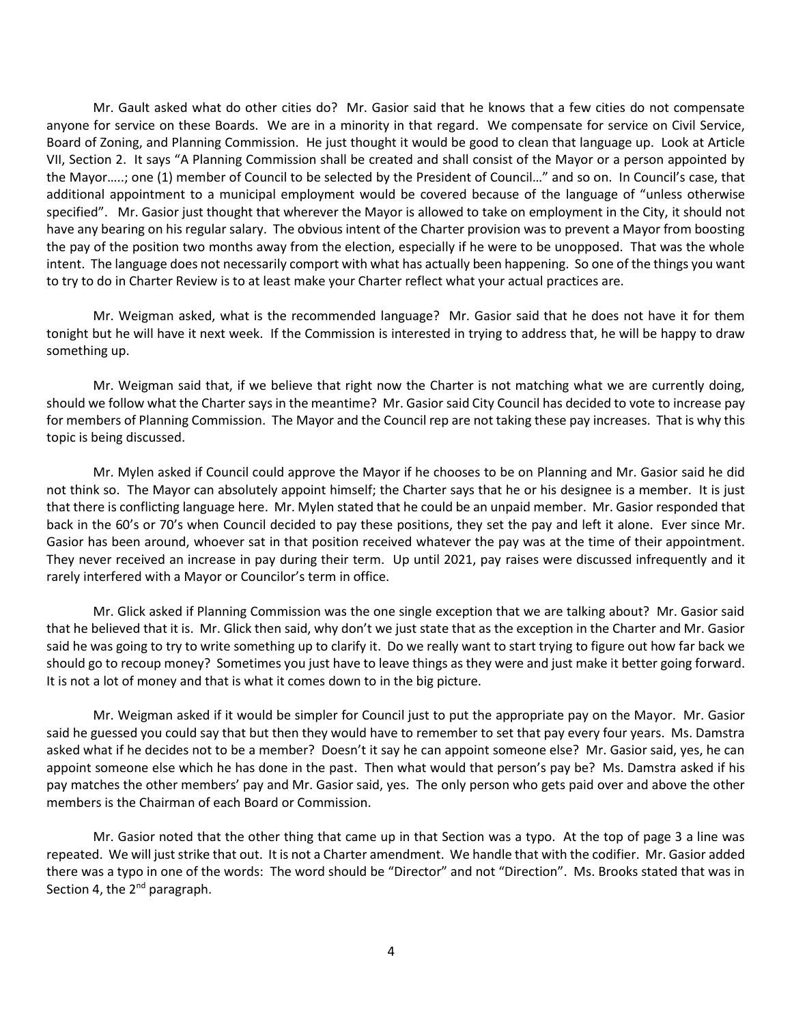Mr. Gault asked what do other cities do? Mr. Gasior said that he knows that a few cities do not compensate anyone for service on these Boards. We are in a minority in that regard. We compensate for service on Civil Service, Board of Zoning, and Planning Commission. He just thought it would be good to clean that language up. Look at Article VII, Section 2. It says "A Planning Commission shall be created and shall consist of the Mayor or a person appointed by the Mayor…..; one (1) member of Council to be selected by the President of Council…" and so on. In Council's case, that additional appointment to a municipal employment would be covered because of the language of "unless otherwise specified". Mr. Gasior just thought that wherever the Mayor is allowed to take on employment in the City, it should not have any bearing on his regular salary. The obvious intent of the Charter provision was to prevent a Mayor from boosting the pay of the position two months away from the election, especially if he were to be unopposed. That was the whole intent. The language does not necessarily comport with what has actually been happening. So one of the things you want to try to do in Charter Review is to at least make your Charter reflect what your actual practices are.

Mr. Weigman asked, what is the recommended language? Mr. Gasior said that he does not have it for them tonight but he will have it next week. If the Commission is interested in trying to address that, he will be happy to draw something up.

Mr. Weigman said that, if we believe that right now the Charter is not matching what we are currently doing, should we follow what the Charter says in the meantime? Mr. Gasior said City Council has decided to vote to increase pay for members of Planning Commission. The Mayor and the Council rep are not taking these pay increases. That is why this topic is being discussed.

Mr. Mylen asked if Council could approve the Mayor if he chooses to be on Planning and Mr. Gasior said he did not think so. The Mayor can absolutely appoint himself; the Charter says that he or his designee is a member. It is just that there is conflicting language here. Mr. Mylen stated that he could be an unpaid member. Mr. Gasior responded that back in the 60's or 70's when Council decided to pay these positions, they set the pay and left it alone. Ever since Mr. Gasior has been around, whoever sat in that position received whatever the pay was at the time of their appointment. They never received an increase in pay during their term. Up until 2021, pay raises were discussed infrequently and it rarely interfered with a Mayor or Councilor's term in office.

Mr. Glick asked if Planning Commission was the one single exception that we are talking about? Mr. Gasior said that he believed that it is. Mr. Glick then said, why don't we just state that as the exception in the Charter and Mr. Gasior said he was going to try to write something up to clarify it. Do we really want to start trying to figure out how far back we should go to recoup money? Sometimes you just have to leave things as they were and just make it better going forward. It is not a lot of money and that is what it comes down to in the big picture.

Mr. Weigman asked if it would be simpler for Council just to put the appropriate pay on the Mayor. Mr. Gasior said he guessed you could say that but then they would have to remember to set that pay every four years. Ms. Damstra asked what if he decides not to be a member? Doesn't it say he can appoint someone else? Mr. Gasior said, yes, he can appoint someone else which he has done in the past. Then what would that person's pay be? Ms. Damstra asked if his pay matches the other members' pay and Mr. Gasior said, yes. The only person who gets paid over and above the other members is the Chairman of each Board or Commission.

Mr. Gasior noted that the other thing that came up in that Section was a typo. At the top of page 3 a line was repeated. We will just strike that out. It is not a Charter amendment. We handle that with the codifier. Mr. Gasior added there was a typo in one of the words: The word should be "Director" and not "Direction". Ms. Brooks stated that was in Section 4, the 2<sup>nd</sup> paragraph.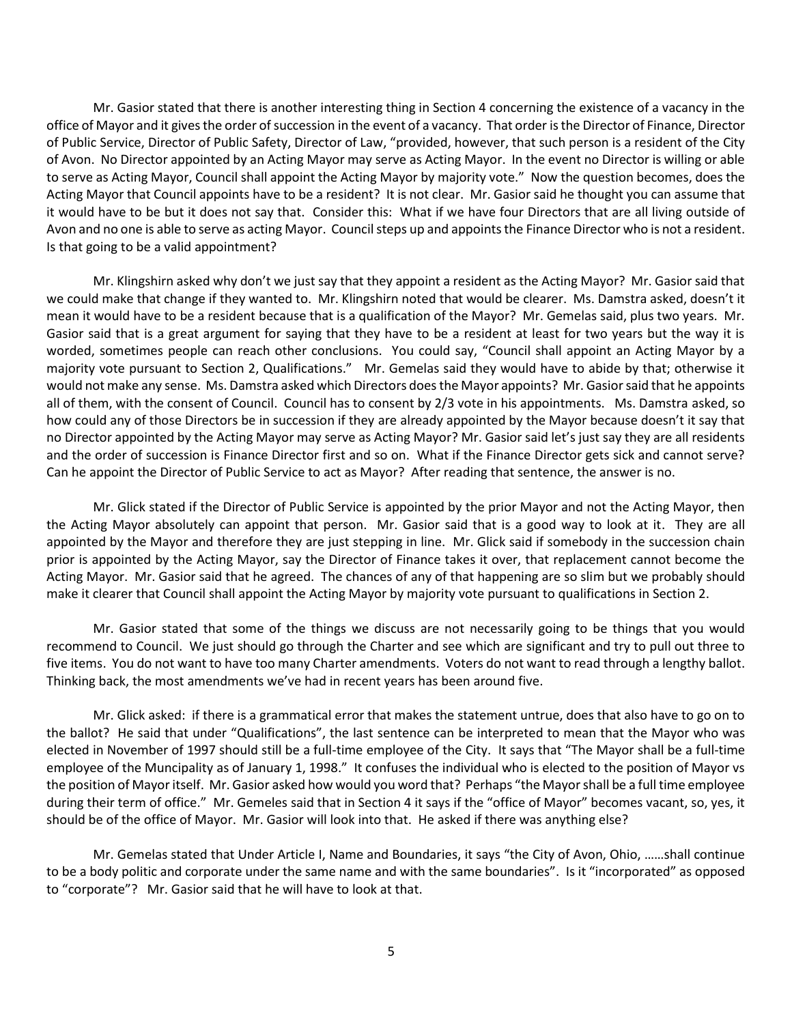Mr. Gasior stated that there is another interesting thing in Section 4 concerning the existence of a vacancy in the office of Mayor and it gives the order of succession in the event of a vacancy. That order is the Director of Finance, Director of Public Service, Director of Public Safety, Director of Law, "provided, however, that such person is a resident of the City of Avon. No Director appointed by an Acting Mayor may serve as Acting Mayor. In the event no Director is willing or able to serve as Acting Mayor, Council shall appoint the Acting Mayor by majority vote." Now the question becomes, does the Acting Mayor that Council appoints have to be a resident? It is not clear. Mr. Gasior said he thought you can assume that it would have to be but it does not say that. Consider this: What if we have four Directors that are all living outside of Avon and no one is able to serve as acting Mayor. Council steps up and appoints the Finance Director who is not a resident. Is that going to be a valid appointment?

Mr. Klingshirn asked why don't we just say that they appoint a resident as the Acting Mayor? Mr. Gasior said that we could make that change if they wanted to. Mr. Klingshirn noted that would be clearer. Ms. Damstra asked, doesn't it mean it would have to be a resident because that is a qualification of the Mayor? Mr. Gemelas said, plus two years. Mr. Gasior said that is a great argument for saying that they have to be a resident at least for two years but the way it is worded, sometimes people can reach other conclusions. You could say, "Council shall appoint an Acting Mayor by a majority vote pursuant to Section 2, Qualifications." Mr. Gemelas said they would have to abide by that; otherwise it would not make any sense. Ms. Damstra asked which Directors doesthe Mayor appoints? Mr. Gasior said that he appoints all of them, with the consent of Council. Council has to consent by 2/3 vote in his appointments. Ms. Damstra asked, so how could any of those Directors be in succession if they are already appointed by the Mayor because doesn't it say that no Director appointed by the Acting Mayor may serve as Acting Mayor? Mr. Gasior said let's just say they are all residents and the order of succession is Finance Director first and so on. What if the Finance Director gets sick and cannot serve? Can he appoint the Director of Public Service to act as Mayor? After reading that sentence, the answer is no.

Mr. Glick stated if the Director of Public Service is appointed by the prior Mayor and not the Acting Mayor, then the Acting Mayor absolutely can appoint that person. Mr. Gasior said that is a good way to look at it. They are all appointed by the Mayor and therefore they are just stepping in line. Mr. Glick said if somebody in the succession chain prior is appointed by the Acting Mayor, say the Director of Finance takes it over, that replacement cannot become the Acting Mayor. Mr. Gasior said that he agreed. The chances of any of that happening are so slim but we probably should make it clearer that Council shall appoint the Acting Mayor by majority vote pursuant to qualifications in Section 2.

Mr. Gasior stated that some of the things we discuss are not necessarily going to be things that you would recommend to Council. We just should go through the Charter and see which are significant and try to pull out three to five items. You do not want to have too many Charter amendments. Voters do not want to read through a lengthy ballot. Thinking back, the most amendments we've had in recent years has been around five.

Mr. Glick asked: if there is a grammatical error that makes the statement untrue, does that also have to go on to the ballot? He said that under "Qualifications", the last sentence can be interpreted to mean that the Mayor who was elected in November of 1997 should still be a full-time employee of the City. It says that "The Mayor shall be a full-time employee of the Muncipality as of January 1, 1998." It confuses the individual who is elected to the position of Mayor vs the position of Mayor itself. Mr. Gasior asked how would you word that? Perhaps "the Mayor shall be a full time employee during their term of office." Mr. Gemeles said that in Section 4 it says if the "office of Mayor" becomes vacant, so, yes, it should be of the office of Mayor. Mr. Gasior will look into that. He asked if there was anything else?

Mr. Gemelas stated that Under Article I, Name and Boundaries, it says "the City of Avon, Ohio, ……shall continue to be a body politic and corporate under the same name and with the same boundaries". Is it "incorporated" as opposed to "corporate"? Mr. Gasior said that he will have to look at that.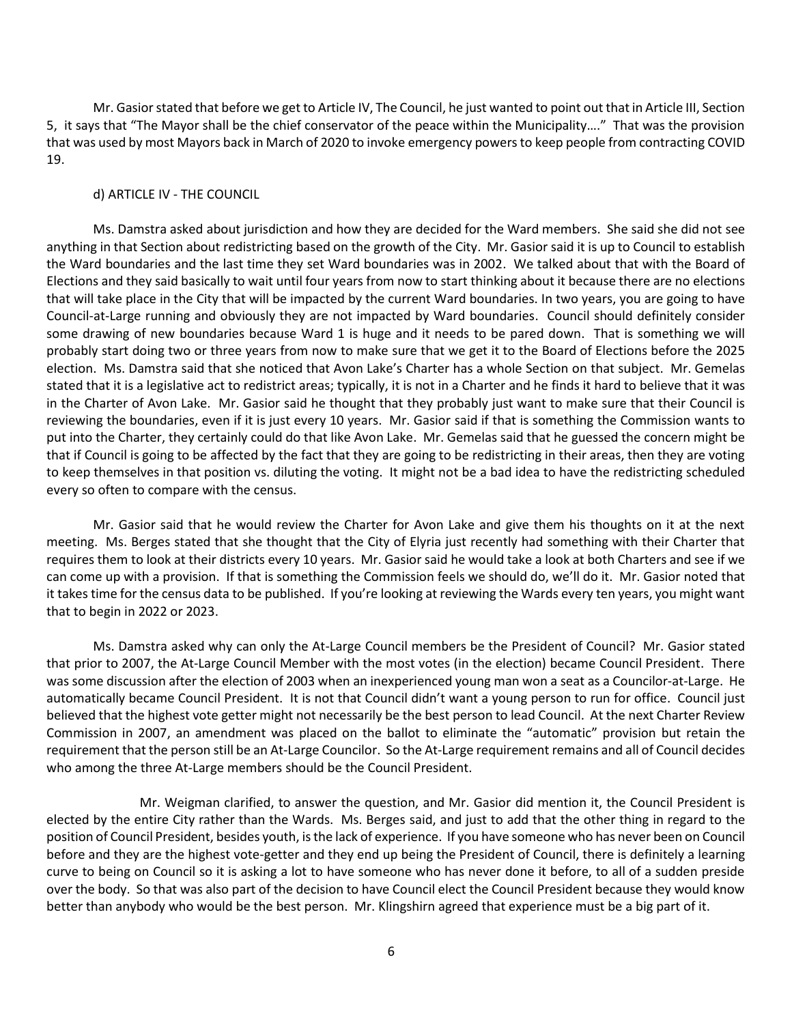Mr. Gasior stated that before we get to Article IV, The Council, he just wanted to point out that in Article III, Section 5, it says that "The Mayor shall be the chief conservator of the peace within the Municipality…." That was the provision that was used by most Mayors back in March of 2020 to invoke emergency powers to keep people from contracting COVID 19.

# d) ARTICLE IV - THE COUNCIL

Ms. Damstra asked about jurisdiction and how they are decided for the Ward members. She said she did not see anything in that Section about redistricting based on the growth of the City. Mr. Gasior said it is up to Council to establish the Ward boundaries and the last time they set Ward boundaries was in 2002. We talked about that with the Board of Elections and they said basically to wait until four years from now to start thinking about it because there are no elections that will take place in the City that will be impacted by the current Ward boundaries. In two years, you are going to have Council-at-Large running and obviously they are not impacted by Ward boundaries. Council should definitely consider some drawing of new boundaries because Ward 1 is huge and it needs to be pared down. That is something we will probably start doing two or three years from now to make sure that we get it to the Board of Elections before the 2025 election. Ms. Damstra said that she noticed that Avon Lake's Charter has a whole Section on that subject. Mr. Gemelas stated that it is a legislative act to redistrict areas; typically, it is not in a Charter and he finds it hard to believe that it was in the Charter of Avon Lake. Mr. Gasior said he thought that they probably just want to make sure that their Council is reviewing the boundaries, even if it is just every 10 years. Mr. Gasior said if that is something the Commission wants to put into the Charter, they certainly could do that like Avon Lake. Mr. Gemelas said that he guessed the concern might be that if Council is going to be affected by the fact that they are going to be redistricting in their areas, then they are voting to keep themselves in that position vs. diluting the voting. It might not be a bad idea to have the redistricting scheduled every so often to compare with the census.

Mr. Gasior said that he would review the Charter for Avon Lake and give them his thoughts on it at the next meeting. Ms. Berges stated that she thought that the City of Elyria just recently had something with their Charter that requires them to look at their districts every 10 years. Mr. Gasior said he would take a look at both Charters and see if we can come up with a provision. If that is something the Commission feels we should do, we'll do it. Mr. Gasior noted that it takes time for the census data to be published. If you're looking at reviewing the Wards every ten years, you might want that to begin in 2022 or 2023.

Ms. Damstra asked why can only the At-Large Council members be the President of Council? Mr. Gasior stated that prior to 2007, the At-Large Council Member with the most votes (in the election) became Council President. There was some discussion after the election of 2003 when an inexperienced young man won a seat as a Councilor-at-Large. He automatically became Council President. It is not that Council didn't want a young person to run for office. Council just believed that the highest vote getter might not necessarily be the best person to lead Council. At the next Charter Review Commission in 2007, an amendment was placed on the ballot to eliminate the "automatic" provision but retain the requirement that the person still be an At-Large Councilor. So the At-Large requirement remains and all of Council decides who among the three At-Large members should be the Council President.

Mr. Weigman clarified, to answer the question, and Mr. Gasior did mention it, the Council President is elected by the entire City rather than the Wards. Ms. Berges said, and just to add that the other thing in regard to the position of Council President, besides youth, is the lack of experience. If you have someone who has never been on Council before and they are the highest vote-getter and they end up being the President of Council, there is definitely a learning curve to being on Council so it is asking a lot to have someone who has never done it before, to all of a sudden preside over the body. So that was also part of the decision to have Council elect the Council President because they would know better than anybody who would be the best person. Mr. Klingshirn agreed that experience must be a big part of it.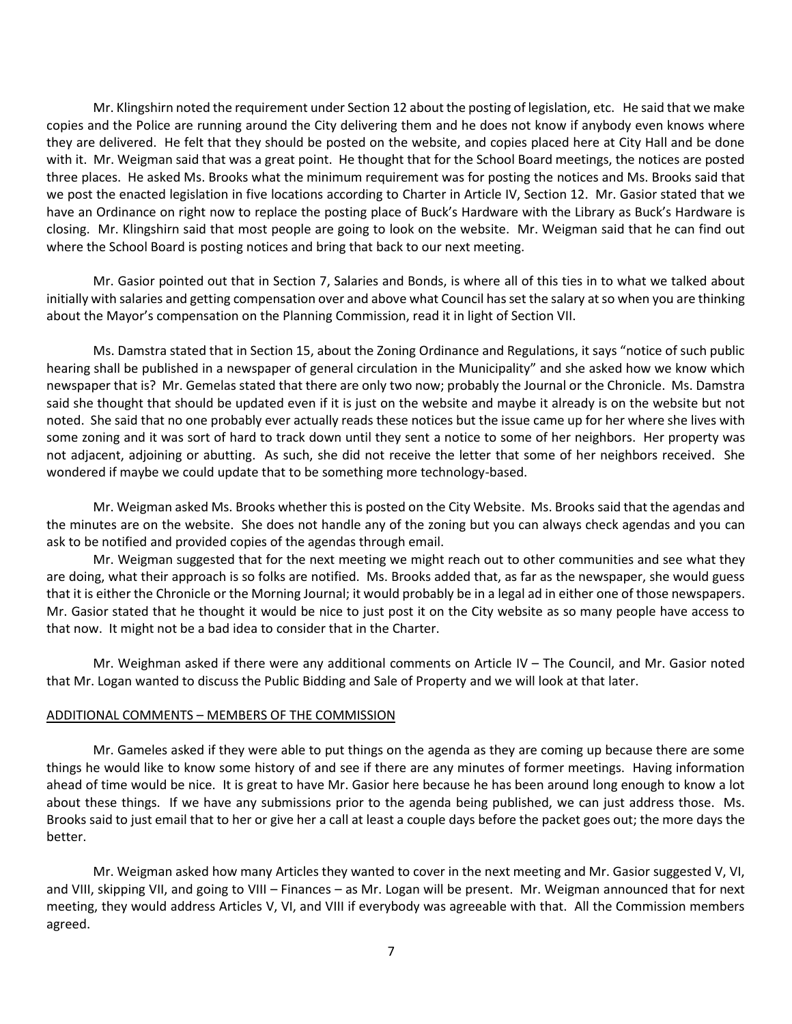Mr. Klingshirn noted the requirement under Section 12 about the posting of legislation, etc. He said that we make copies and the Police are running around the City delivering them and he does not know if anybody even knows where they are delivered. He felt that they should be posted on the website, and copies placed here at City Hall and be done with it. Mr. Weigman said that was a great point. He thought that for the School Board meetings, the notices are posted three places. He asked Ms. Brooks what the minimum requirement was for posting the notices and Ms. Brooks said that we post the enacted legislation in five locations according to Charter in Article IV, Section 12. Mr. Gasior stated that we have an Ordinance on right now to replace the posting place of Buck's Hardware with the Library as Buck's Hardware is closing. Mr. Klingshirn said that most people are going to look on the website. Mr. Weigman said that he can find out where the School Board is posting notices and bring that back to our next meeting.

Mr. Gasior pointed out that in Section 7, Salaries and Bonds, is where all of this ties in to what we talked about initially with salaries and getting compensation over and above what Council has set the salary at so when you are thinking about the Mayor's compensation on the Planning Commission, read it in light of Section VII.

Ms. Damstra stated that in Section 15, about the Zoning Ordinance and Regulations, it says "notice of such public hearing shall be published in a newspaper of general circulation in the Municipality" and she asked how we know which newspaper that is? Mr. Gemelas stated that there are only two now; probably the Journal or the Chronicle. Ms. Damstra said she thought that should be updated even if it is just on the website and maybe it already is on the website but not noted. She said that no one probably ever actually reads these notices but the issue came up for her where she lives with some zoning and it was sort of hard to track down until they sent a notice to some of her neighbors. Her property was not adjacent, adjoining or abutting. As such, she did not receive the letter that some of her neighbors received. She wondered if maybe we could update that to be something more technology-based.

Mr. Weigman asked Ms. Brooks whether this is posted on the City Website. Ms. Brooks said that the agendas and the minutes are on the website. She does not handle any of the zoning but you can always check agendas and you can ask to be notified and provided copies of the agendas through email.

Mr. Weigman suggested that for the next meeting we might reach out to other communities and see what they are doing, what their approach is so folks are notified. Ms. Brooks added that, as far as the newspaper, she would guess that it is either the Chronicle or the Morning Journal; it would probably be in a legal ad in either one of those newspapers. Mr. Gasior stated that he thought it would be nice to just post it on the City website as so many people have access to that now. It might not be a bad idea to consider that in the Charter.

Mr. Weighman asked if there were any additional comments on Article IV – The Council, and Mr. Gasior noted that Mr. Logan wanted to discuss the Public Bidding and Sale of Property and we will look at that later.

#### ADDITIONAL COMMENTS – MEMBERS OF THE COMMISSION

Mr. Gameles asked if they were able to put things on the agenda as they are coming up because there are some things he would like to know some history of and see if there are any minutes of former meetings. Having information ahead of time would be nice. It is great to have Mr. Gasior here because he has been around long enough to know a lot about these things. If we have any submissions prior to the agenda being published, we can just address those. Ms. Brooks said to just email that to her or give her a call at least a couple days before the packet goes out; the more days the better.

Mr. Weigman asked how many Articles they wanted to cover in the next meeting and Mr. Gasior suggested V, VI, and VIII, skipping VII, and going to VIII – Finances – as Mr. Logan will be present. Mr. Weigman announced that for next meeting, they would address Articles V, VI, and VIII if everybody was agreeable with that. All the Commission members agreed.